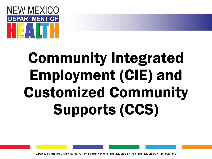

# Community Integrated Employment (CIE) and Customized Community Supports (CCS)

1190 S. St. Francis Drive • Santa Fe, NM 87505 • Phone: 505-827-2613 • Fax: 505-827-2530 • nmhealth.org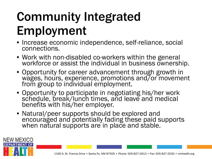# Community Integrated Employment

- Increase economic independence, self-reliance, social connections.
- Work with non-disabled co-workers within the general workforce or assist the individual in business ownership.
- Opportunity for career advancement through growth in wages, hours, experience, promotions and/or movement from group to individual employment.
- Opportunity to participate in negotiating his/her work schedule, break/lunch times, and leave and medical benefits with his/her employer.
- Natural/peer supports should be explored and encouraged and potentially fading these paid supports when natural supports are in place and stable.

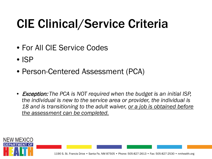# CIE Clinical/Service Criteria

- For All CIE Service Codes
- ISP
- Person-Centered Assessment (PCA)
- Exception: *The PCA is NOT required when the budget is an initial ISP, the individual is new to the service area or provider, the individual is 18 and is transitioning to the adult waiver, or a job is obtained before the assessment can be completed.*

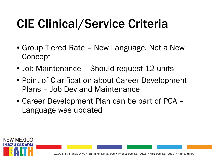# CIE Clinical/Service Criteria

- Group Tiered Rate New Language, Not a New Concept
- Job Maintenance Should request 12 units
- Point of Clarification about Career Development Plans – Job Dev and Maintenance
- Career Development Plan can be part of PCA Language was updated

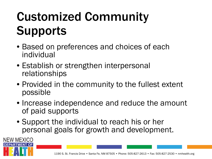# Customized Community **Supports**

- Based on preferences and choices of each individual
- Establish or strengthen interpersonal relationships

NEW MEXICO

**ARTMENT OF** 

- Provided in the community to the fullest extent possible
- Increase independence and reduce the amount of paid supports
- Support the individual to reach his or her personal goals for growth and development.

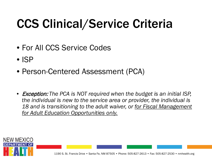# CCS Clinical/Service Criteria

- For All CCS Service Codes
- ISP
- Person-Centered Assessment (PCA)
- Exception: *The PCA is NOT required when the budget is an initial ISP, the individual is new to the service area or provider, the individual is 18 and is transitioning to the adult waiver, or for Fiscal Management for Adult Education Opportunities only.*

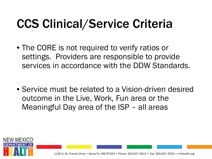# CCS Clinical/Service Criteria

- The CORE is not required to verify ratios or settings. Providers are responsible to provide services in accordance with the DDW Standards.
- Service must be related to a Vision-driven desired outcome in the Live, Work, Fun area or the Meaningful Day area of the ISP – all areas

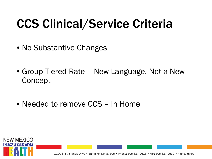# CCS Clinical/Service Criteria

- No Substantive Changes
- Group Tiered Rate New Language, Not a New **Concept**
- Needed to remove CCS In Home

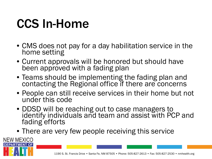### CCS In-Home

- CMS does not pay for a day habilitation service in the home setting
- Current approvals will be honored but should have been approved with a fading plan
- Teams should be implementing the fading plan and contacting the Regional office if there are concerns
- People can still receive services in their home but not under this code
- DDSD will be reaching out to case managers to identify individuals and team and assist with PCP and fading efforts
- There are very few people receiving this service

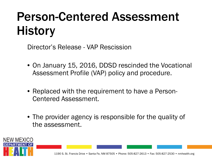# Person-Centered Assessment **History**

Director's Release - VAP Rescission

- On January 15, 2016, DDSD rescinded the Vocational Assessment Profile (VAP) policy and procedure.
- Replaced with the requirement to have a Person-Centered Assessment.
- The provider agency is responsible for the quality of the assessment.

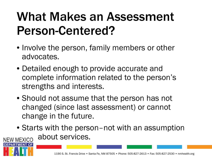### What Makes an Assessment Person-Centered?

- Involve the person, family members or other advocates.
- Detailed enough to provide accurate and complete information related to the person's strengths and interests.
- Should not assume that the person has not changed (since last assessment) or cannot change in the future.

**PARTMENT OF** 

• Starts with the person–not with an assumption about services. **NEW MEXICO**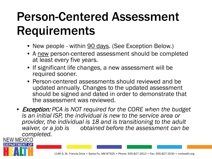#### Person-Centered Assessment Requirements

- New people within **90 days**. (See Exception Below.)
- A new person-centered assessment should be completed at least every five years.
- If significant life changes, a new assessment will be required sooner.
- Person-centered assessments should reviewed and be updated annually. Changes to the updated assessment should be signed and dated in order to demonstrate that the assessment was reviewed.
- Exception: *PCA is NOT required for the CORE when the budget is an initial ISP, the individual is new to the service area or provider, the individual is 18 and is transitioning to the adult*  obtained before the assessment can be *completed.*<br>NEW MEXICO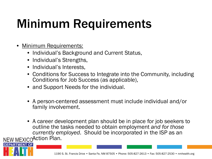# Minimum Requirements

• Minimum Requirements:

PARTMENT OF

- Individual's Background and Current Status,
- Individual's Strengths,
- Individual's Interests,
- Conditions for Success to Integrate into the Community, including Conditions for Job Success (as applicable),
- and Support Needs for the individual.
- A person-centered assessment must include individual and/or family involvement.
- A career development plan should be in place for job seekers to outline the tasks needed to obtain employment *and for those currently employed*. Should be incorporated in the ISP as an NEW MEXICOAction Plan.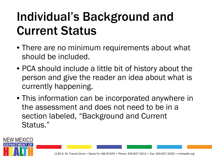### Individual's Background and Current Status

- There are no minimum requirements about what should be included.
- PCA should include a little bit of history about the person and give the reader an idea about what is currently happening.
- This information can be incorporated anywhere in the assessment and does not need to be in a section labeled, "Background and Current Status."

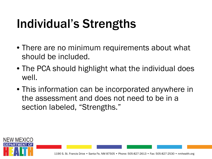# Individual's Strengths

- There are no minimum requirements about what should be included.
- The PCA should highlight what the individual does well.
- This information can be incorporated anywhere in the assessment and does not need to be in a section labeled, "Strengths."

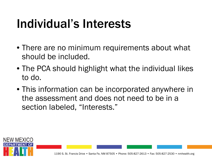### Individual's Interests

- There are no minimum requirements about what should be included.
- The PCA should highlight what the individual likes to do.
- This information can be incorporated anywhere in the assessment and does not need to be in a section labeled, "Interests."

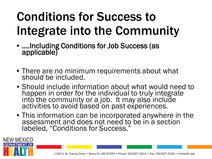# Conditions for Success to Integrate into the Community

• ….Including Conditions for Job Success (as applicable)

NEW MEXICO

**ARTMENT OF** 

- There are no minimum requirements about what should be included.
- Should include information about what would need to happen in order for the individual to truly integrate into the community or a job. It may also include activities to avoid based on past experiences.
- This information can be incorporated anywhere in the assessment and does not need to be in a section labeled, "Conditions for Success."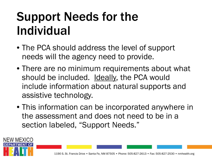### Support Needs for the Individual

- The PCA should address the level of support needs will the agency need to provide.
- There are no minimum requirements about what should be included. Ideally, the PCA would include information about natural supports and assistive technology.
- This information can be incorporated anywhere in the assessment and does not need to be in a section labeled, "Support Needs."

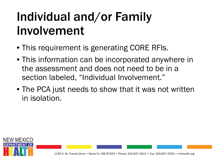# Individual and/or Family Involvement

- This requirement is generating CORE RFIs.
- This information can be incorporated anywhere in the assessment and does not need to be in a section labeled, "Individual Involvement."
- The PCA just needs to show that it was not written in isolation.

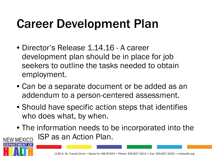### Career Development Plan

- Director's Release 1.14.16 A career development plan should be in place for job seekers to outline the tasks needed to obtain employment.
- Can be a separate document or be added as an addendum to a person-centered assessment.
- Should have specific action steps that identifies who does what, by when.
- The information needs to be incorporated into the ISP as an Action Plan. **NEW MEXICO**

**PARTMENT OF**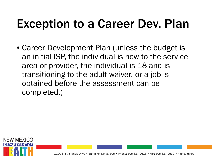#### Exception to a Career Dev. Plan

• Career Development Plan (unless the budget is an initial ISP, the individual is new to the service area or provider, the individual is 18 and is transitioning to the adult waiver, or a job is obtained before the assessment can be completed.)

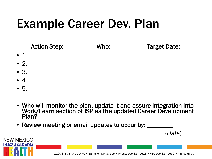### Example Career Dev. Plan



- Who will monitor the plan, update it and assure integration into Work/Learn section of ISP as the updated Career Development Plan?
- Review meeting or email updates to occur by:

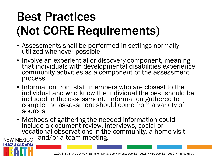# Best Practices (Not CORE Requirements)

- Assessments shall be performed in settings normally utilized whenever possible.
- Involve an experiential or discovery component, meaning that individuals with developmental disabilities experience community activities as a component of the assessment process.
- Information from staff members who are closest to the individual and who know the individual the best should be included in the assessment. Information gathered to compile the assessment should come from a variety of sources.
- Methods of gathering the needed information could include a document review, interviews, social or vocational observations in the community, a home visit<br>NEW MEXICO and/or a team meeting.

**PARTMENT OF**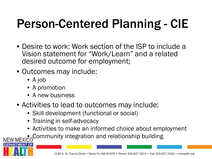# Person-Centered Planning - CIE

- Desire to work: Work section of the ISP to include a Vision statement for "Work/Learn" and a related desired outcome for employment;
- Outcomes may include:
	- A job

**MENT OF** 

- A promotion
- A new business
- Activities to lead to outcomes may include:
	- Skill development (functional or social)
	- Training in self-advocacy
	- Activities to make an informed choice about employment
	- $\sim$  Community integration and relationship building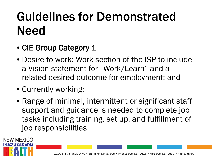# Guidelines for Demonstrated Need

- CIE Group Category 1
- Desire to work: Work section of the ISP to include a Vision statement for "Work/Learn" and a related desired outcome for employment; and
- Currently working;

NEW MEXICO

**MENT OF** 

• Range of minimal, intermittent or significant staff support and guidance is needed to complete job tasks including training, set up, and fulfillment of job responsibilities

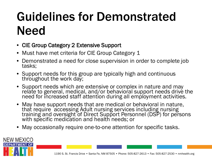# Guidelines for Demonstrated Need

- CIE Group Category 2 Extensive Support
- Must have met criteria for CIE Group Category 1
- Demonstrated a need for close supervision in order to complete job tasks;
- Support needs for this group are typically high and continuous throughout the work day;
- Support needs which are extensive or complex in nature and may relate to general, medical, and/or behavioral support needs drive the need for increased staff attention during all employment activities.
- May have support needs that are medical or behavioral in nature, that require accessing Adult nursing services including nursing training and oversight of Direct Support Personnel (DSP) for persons with specific medication and health needs; or
- May occasionally require one-to-one attention for specific tasks.

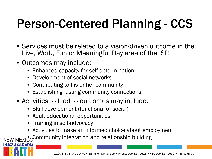# Person-Centered Planning - CCS

- Services must be related to a vision-driven outcome in the Live, Work, Fun or Meaningful Day area of the ISP.
- Outcomes may include:
	- Enhanced capacity for self-determination
	- Development of social networks
	- Contributing to his or her community
	- Establishing lasting community connections.
- Activities to lead to outcomes may include:
	- Skill development (functional or social)
	- Adult educational opportunities
	- Training in self-advocacy

'OF

• Activities to make an informed choice about employment

NEW MEXICOCommunity integration and relationship building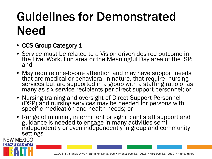# Guidelines for Demonstrated Need

• CCS Group Category 1

PARTMENT OF

- Service must be related to a Vision-driven desired outcome in the Live, Work, Fun area or the Meaningful Day area of the ISP; and
- May require one-to-one attention and may have support needs that are medical or behavioral in nature, that require nursing services but are supported in a group with a staffing ratio of as many as six service recipients per direct support personnel; or
- Nursing training and oversight of Direct Support Personnel (DSP) and nursing services may be needed for persons with specific medication and health needs; or
- Range of minimal, intermittent or significant staff support and guidance is needed to engage in many activities semi- independently or even independently in group and community settings.**NEW MEXICO**

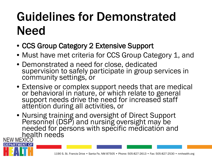# Guidelines for Demonstrated Need

- CCS Group Category 2 Extensive Support
- Must have met criteria for CCS Group Category 1, and
- Demonstrated a need for close, dedicated supervision to safely participate in group services in community settings, or
- Extensive or complex support needs that are medical or behavioral in nature, or which relate to general support needs drive the need for increased staff attention during all activities, or
- Nursing training and oversight of Direct Support Personnel (DSP) and nursing oversight may be needed for persons with specific medication and **NEW MEXICO**